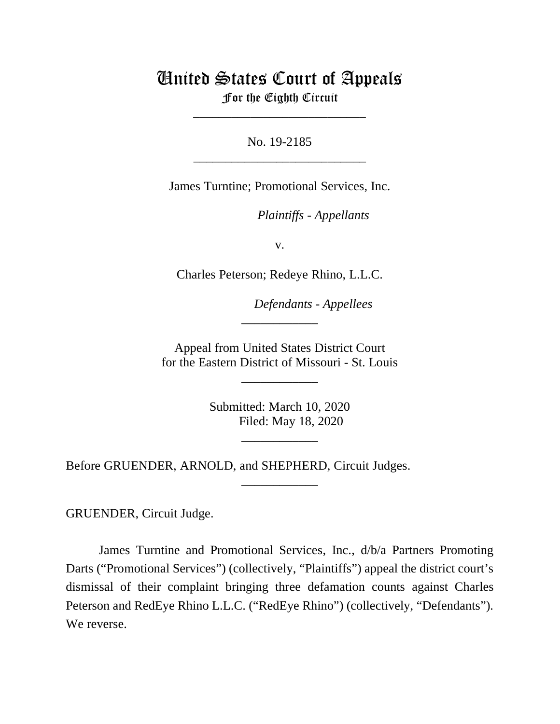# United States Court of Appeals

For the Eighth Circuit \_\_\_\_\_\_\_\_\_\_\_\_\_\_\_\_\_\_\_\_\_\_\_\_\_\_\_

No. 19-2185 \_\_\_\_\_\_\_\_\_\_\_\_\_\_\_\_\_\_\_\_\_\_\_\_\_\_\_

James Turntine; Promotional Services, Inc.

*Plaintiffs - Appellants*

v.

Charles Peterson; Redeye Rhino, L.L.C.

*Defendants - Appellees*

Appeal from United States District Court for the Eastern District of Missouri - St. Louis

\_\_\_\_\_\_\_\_\_\_\_\_

\_\_\_\_\_\_\_\_\_\_\_\_

Submitted: March 10, 2020 Filed: May 18, 2020

\_\_\_\_\_\_\_\_\_\_\_\_

\_\_\_\_\_\_\_\_\_\_\_\_

Before GRUENDER, ARNOLD, and SHEPHERD, Circuit Judges.

GRUENDER, Circuit Judge.

James Turntine and Promotional Services, Inc., d/b/a Partners Promoting Darts ("Promotional Services") (collectively, "Plaintiffs") appeal the district court's dismissal of their complaint bringing three defamation counts against Charles Peterson and RedEye Rhino L.L.C. ("RedEye Rhino") (collectively, "Defendants"). We reverse.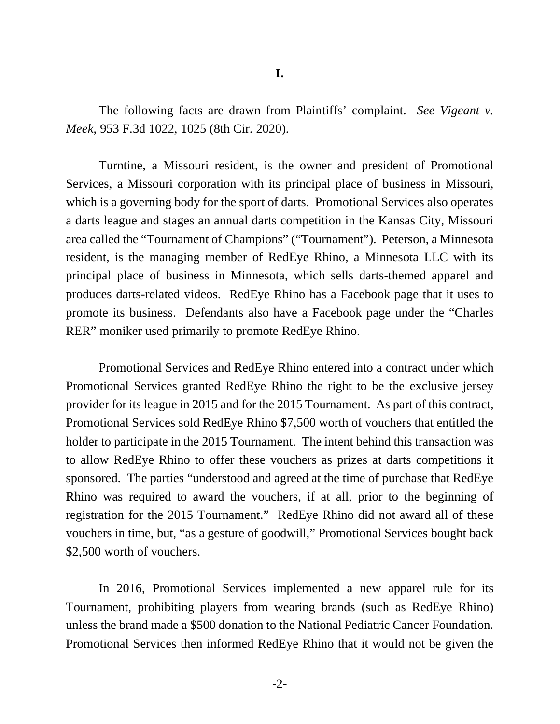The following facts are drawn from Plaintiffs' complaint. *See Vigeant v. Meek*, 953 F.3d 1022, 1025 (8th Cir. 2020).

Turntine, a Missouri resident, is the owner and president of Promotional Services, a Missouri corporation with its principal place of business in Missouri, which is a governing body for the sport of darts. Promotional Services also operates a darts league and stages an annual darts competition in the Kansas City, Missouri area called the "Tournament of Champions" ("Tournament"). Peterson, a Minnesota resident, is the managing member of RedEye Rhino, a Minnesota LLC with its principal place of business in Minnesota, which sells darts-themed apparel and produces darts-related videos. RedEye Rhino has a Facebook page that it uses to promote its business. Defendants also have a Facebook page under the "Charles RER" moniker used primarily to promote RedEye Rhino.

Promotional Services and RedEye Rhino entered into a contract under which Promotional Services granted RedEye Rhino the right to be the exclusive jersey provider for its league in 2015 and for the 2015 Tournament. As part of this contract, Promotional Services sold RedEye Rhino \$7,500 worth of vouchers that entitled the holder to participate in the 2015 Tournament. The intent behind this transaction was to allow RedEye Rhino to offer these vouchers as prizes at darts competitions it sponsored. The parties "understood and agreed at the time of purchase that RedEye Rhino was required to award the vouchers, if at all, prior to the beginning of registration for the 2015 Tournament." RedEye Rhino did not award all of these vouchers in time, but, "as a gesture of goodwill," Promotional Services bought back \$2,500 worth of vouchers.

In 2016, Promotional Services implemented a new apparel rule for its Tournament, prohibiting players from wearing brands (such as RedEye Rhino) unless the brand made a \$500 donation to the National Pediatric Cancer Foundation. Promotional Services then informed RedEye Rhino that it would not be given the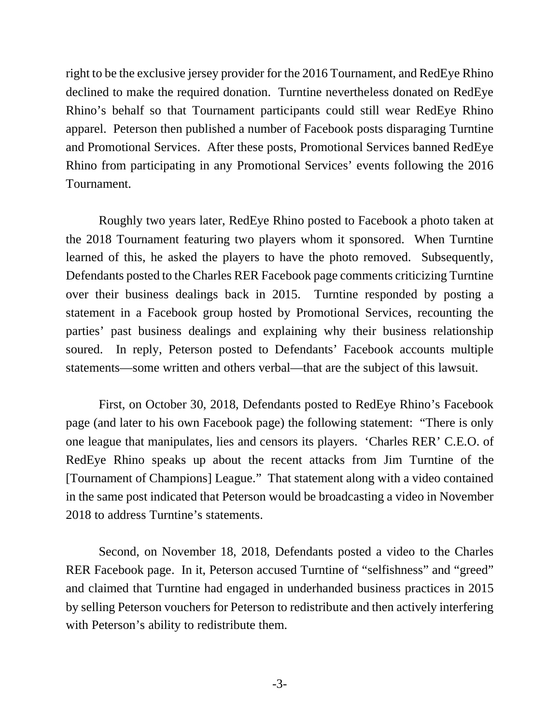right to be the exclusive jersey provider for the 2016 Tournament, and RedEye Rhino declined to make the required donation. Turntine nevertheless donated on RedEye Rhino's behalf so that Tournament participants could still wear RedEye Rhino apparel. Peterson then published a number of Facebook posts disparaging Turntine and Promotional Services. After these posts, Promotional Services banned RedEye Rhino from participating in any Promotional Services' events following the 2016 Tournament.

Roughly two years later, RedEye Rhino posted to Facebook a photo taken at the 2018 Tournament featuring two players whom it sponsored. When Turntine learned of this, he asked the players to have the photo removed. Subsequently, Defendants posted to the Charles RER Facebook page comments criticizing Turntine over their business dealings back in 2015. Turntine responded by posting a statement in a Facebook group hosted by Promotional Services, recounting the parties' past business dealings and explaining why their business relationship soured. In reply, Peterson posted to Defendants' Facebook accounts multiple statements—some written and others verbal—that are the subject of this lawsuit.

First, on October 30, 2018, Defendants posted to RedEye Rhino's Facebook page (and later to his own Facebook page) the following statement: "There is only one league that manipulates, lies and censors its players. 'Charles RER' C.E.O. of RedEye Rhino speaks up about the recent attacks from Jim Turntine of the [Tournament of Champions] League." That statement along with a video contained in the same post indicated that Peterson would be broadcasting a video in November 2018 to address Turntine's statements.

Second, on November 18, 2018, Defendants posted a video to the Charles RER Facebook page. In it, Peterson accused Turntine of "selfishness" and "greed" and claimed that Turntine had engaged in underhanded business practices in 2015 by selling Peterson vouchers for Peterson to redistribute and then actively interfering with Peterson's ability to redistribute them.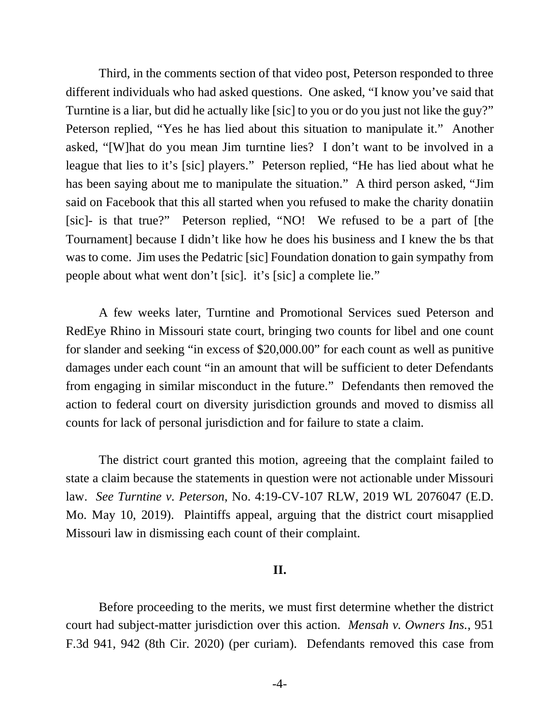Third, in the comments section of that video post, Peterson responded to three different individuals who had asked questions. One asked, "I know you've said that Turntine is a liar, but did he actually like [sic] to you or do you just not like the guy?" Peterson replied, "Yes he has lied about this situation to manipulate it." Another asked, "[W]hat do you mean Jim turntine lies? I don't want to be involved in a league that lies to it's [sic] players." Peterson replied, "He has lied about what he has been saying about me to manipulate the situation." A third person asked, "Jim said on Facebook that this all started when you refused to make the charity donatiin [sic]- is that true?" Peterson replied, "NO! We refused to be a part of [the Tournament] because I didn't like how he does his business and I knew the bs that was to come. Jim uses the Pedatric [sic] Foundation donation to gain sympathy from people about what went don't [sic]. it's [sic] a complete lie."

A few weeks later, Turntine and Promotional Services sued Peterson and RedEye Rhino in Missouri state court, bringing two counts for libel and one count for slander and seeking "in excess of \$20,000.00" for each count as well as punitive damages under each count "in an amount that will be sufficient to deter Defendants from engaging in similar misconduct in the future." Defendants then removed the action to federal court on diversity jurisdiction grounds and moved to dismiss all counts for lack of personal jurisdiction and for failure to state a claim.

 The district court granted this motion, agreeing that the complaint failed to state a claim because the statements in question were not actionable under Missouri law. *See Turntine v. Peterson*, No. 4:19-CV-107 RLW, 2019 WL 2076047 (E.D. Mo. May 10, 2019). Plaintiffs appeal, arguing that the district court misapplied Missouri law in dismissing each count of their complaint.

### **II.**

Before proceeding to the merits, we must first determine whether the district court had subject-matter jurisdiction over this action. *Mensah v. Owners Ins.*, 951 F.3d 941, 942 (8th Cir. 2020) (per curiam). Defendants removed this case from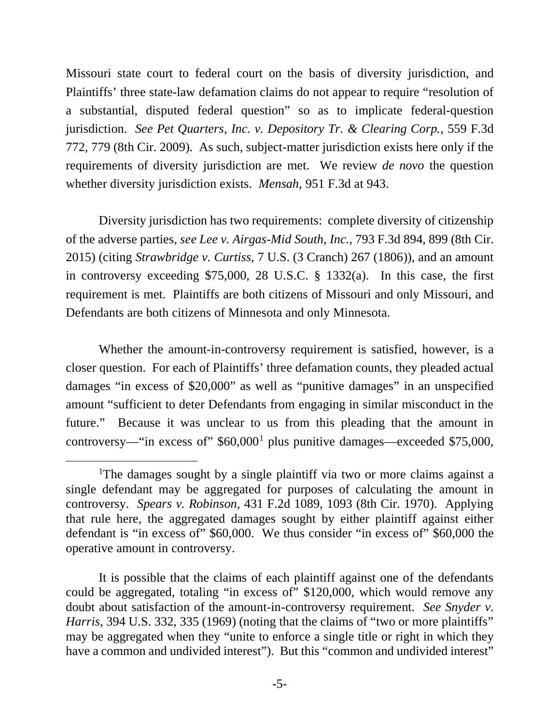Missouri state court to federal court on the basis of diversity jurisdiction, and Plaintiffs' three state-law defamation claims do not appear to require "resolution of a substantial, disputed federal question" so as to implicate federal-question jurisdiction. *See Pet Quarters, Inc. v. Depository Tr. & Clearing Corp.*, 559 F.3d 772, 779 (8th Cir. 2009). As such, subject-matter jurisdiction exists here only if the requirements of diversity jurisdiction are met. We review *de novo* the question whether diversity jurisdiction exists. *Mensah*, 951 F.3d at 943.

Diversity jurisdiction has two requirements: complete diversity of citizenship of the adverse parties, *see Lee v. Airgas-Mid South, Inc.*, 793 F.3d 894, 899 (8th Cir. 2015) (citing *Strawbridge v. Curtiss*, 7 U.S. (3 Cranch) 267 (1806)), and an amount in controversy exceeding \$75,000, 28 U.S.C. § 1332(a). In this case, the first requirement is met. Plaintiffs are both citizens of Missouri and only Missouri, and Defendants are both citizens of Minnesota and only Minnesota.

Whether the amount-in-controversy requirement is satisfied, however, is a closer question. For each of Plaintiffs' three defamation counts, they pleaded actual damages "in excess of \$20,000" as well as "punitive damages" in an unspecified amount "sufficient to deter Defendants from engaging in similar misconduct in the future." Because it was unclear to us from this pleading that the amount in controversy—"in excess of"  $$60,000<sup>1</sup>$  $$60,000<sup>1</sup>$  $$60,000<sup>1</sup>$  plus punitive damages—exceeded \$75,000,

<span id="page-4-0"></span><sup>&</sup>lt;sup>1</sup>The damages sought by a single plaintiff via two or more claims against a single defendant may be aggregated for purposes of calculating the amount in controversy. *Spears v. Robinson*, 431 F.2d 1089, 1093 (8th Cir. 1970). Applying that rule here, the aggregated damages sought by either plaintiff against either defendant is "in excess of" \$60,000. We thus consider "in excess of" \$60,000 the operative amount in controversy.

It is possible that the claims of each plaintiff against one of the defendants could be aggregated, totaling "in excess of" \$120,000, which would remove any doubt about satisfaction of the amount-in-controversy requirement. *See Snyder v. Harris*, 394 U.S. 332, 335 (1969) (noting that the claims of "two or more plaintiffs" may be aggregated when they "unite to enforce a single title or right in which they have a common and undivided interest"). But this "common and undivided interest"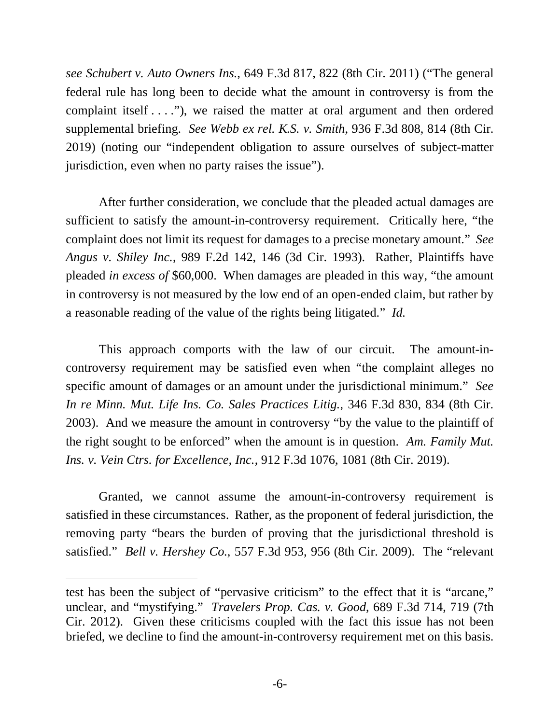*see Schubert v. Auto Owners Ins.*, 649 F.3d 817, 822 (8th Cir. 2011) ("The general federal rule has long been to decide what the amount in controversy is from the complaint itself . . . ."), we raised the matter at oral argument and then ordered supplemental briefing. *See Webb ex rel. K.S. v. Smith*, 936 F.3d 808, 814 (8th Cir. 2019) (noting our "independent obligation to assure ourselves of subject-matter jurisdiction, even when no party raises the issue").

After further consideration, we conclude that the pleaded actual damages are sufficient to satisfy the amount-in-controversy requirement. Critically here, "the complaint does not limit its request for damages to a precise monetary amount." *See Angus v. Shiley Inc.*, 989 F.2d 142, 146 (3d Cir. 1993). Rather, Plaintiffs have pleaded *in excess of* \$60,000. When damages are pleaded in this way, "the amount in controversy is not measured by the low end of an open-ended claim, but rather by a reasonable reading of the value of the rights being litigated." *Id.*

This approach comports with the law of our circuit. The amount-incontroversy requirement may be satisfied even when "the complaint alleges no specific amount of damages or an amount under the jurisdictional minimum." *See In re Minn. Mut. Life Ins. Co. Sales Practices Litig.*, 346 F.3d 830, 834 (8th Cir. 2003). And we measure the amount in controversy "by the value to the plaintiff of the right sought to be enforced" when the amount is in question. *Am. Family Mut. Ins. v. Vein Ctrs. for Excellence, Inc.*, 912 F.3d 1076, 1081 (8th Cir. 2019).

Granted, we cannot assume the amount-in-controversy requirement is satisfied in these circumstances. Rather, as the proponent of federal jurisdiction, the removing party "bears the burden of proving that the jurisdictional threshold is satisfied." *Bell v. Hershey Co.*, 557 F.3d 953, 956 (8th Cir. 2009). The "relevant

test has been the subject of "pervasive criticism" to the effect that it is "arcane," unclear, and "mystifying." *Travelers Prop. Cas. v. Good*, 689 F.3d 714, 719 (7th Cir. 2012). Given these criticisms coupled with the fact this issue has not been briefed, we decline to find the amount-in-controversy requirement met on this basis.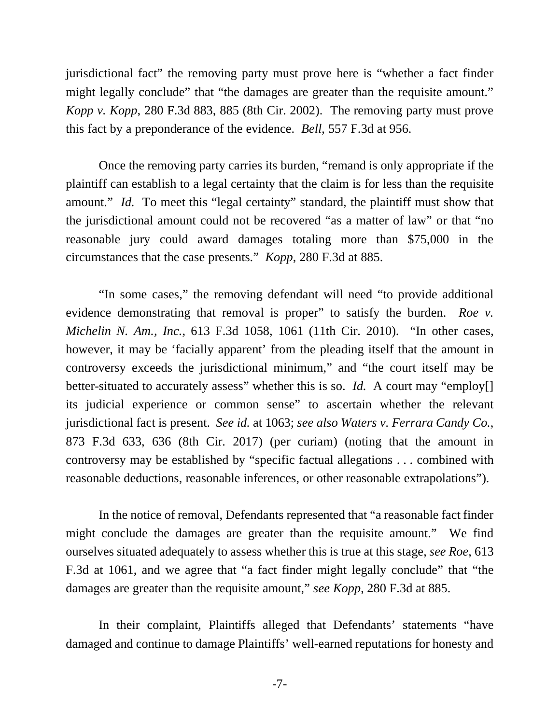jurisdictional fact" the removing party must prove here is "whether a fact finder might legally conclude" that "the damages are greater than the requisite amount." *Kopp v. Kopp*, 280 F.3d 883, 885 (8th Cir. 2002). The removing party must prove this fact by a preponderance of the evidence. *Bell*, 557 F.3d at 956.

Once the removing party carries its burden, "remand is only appropriate if the plaintiff can establish to a legal certainty that the claim is for less than the requisite amount." *Id.* To meet this "legal certainty" standard, the plaintiff must show that the jurisdictional amount could not be recovered "as a matter of law" or that "no reasonable jury could award damages totaling more than \$75,000 in the circumstances that the case presents." *Kopp*, 280 F.3d at 885.

"In some cases," the removing defendant will need "to provide additional evidence demonstrating that removal is proper" to satisfy the burden. *Roe v. Michelin N. Am., Inc.*, 613 F.3d 1058, 1061 (11th Cir. 2010). "In other cases, however, it may be 'facially apparent' from the pleading itself that the amount in controversy exceeds the jurisdictional minimum," and "the court itself may be better-situated to accurately assess" whether this is so. *Id.* A court may "employ<sup>[]</sup> its judicial experience or common sense" to ascertain whether the relevant jurisdictional fact is present. *See id.* at 1063; *see also Waters v. Ferrara Candy Co.*, 873 F.3d 633, 636 (8th Cir. 2017) (per curiam) (noting that the amount in controversy may be established by "specific factual allegations . . . combined with reasonable deductions, reasonable inferences, or other reasonable extrapolations").

In the notice of removal, Defendants represented that "a reasonable fact finder might conclude the damages are greater than the requisite amount." We find ourselves situated adequately to assess whether this is true at this stage, *see Roe*, 613 F.3d at 1061, and we agree that "a fact finder might legally conclude" that "the damages are greater than the requisite amount," *see Kopp*, 280 F.3d at 885.

In their complaint, Plaintiffs alleged that Defendants' statements "have damaged and continue to damage Plaintiffs' well-earned reputations for honesty and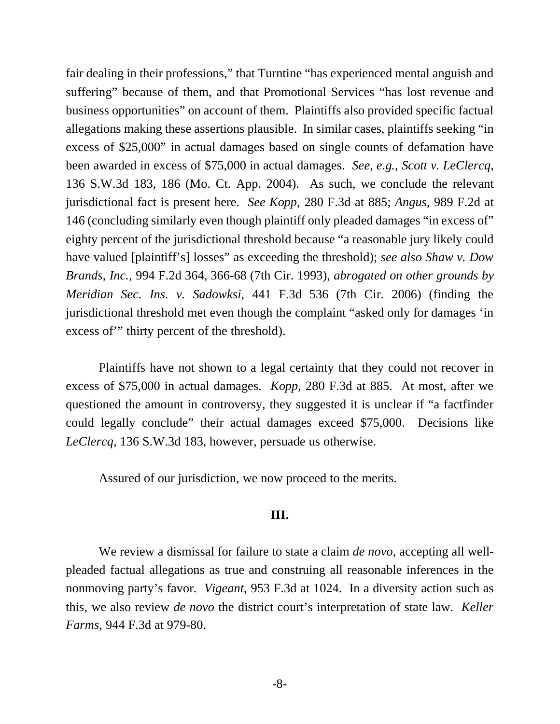fair dealing in their professions," that Turntine "has experienced mental anguish and suffering" because of them, and that Promotional Services "has lost revenue and business opportunities" on account of them. Plaintiffs also provided specific factual allegations making these assertions plausible. In similar cases, plaintiffs seeking "in excess of \$25,000" in actual damages based on single counts of defamation have been awarded in excess of \$75,000 in actual damages. *See, e.g.*, *Scott v. LeClercq*, 136 S.W.3d 183, 186 (Mo. Ct. App. 2004). As such, we conclude the relevant jurisdictional fact is present here. *See Kopp*, 280 F.3d at 885; *Angus*, 989 F.2d at 146 (concluding similarly even though plaintiff only pleaded damages "in excess of" eighty percent of the jurisdictional threshold because "a reasonable jury likely could have valued [plaintiff's] losses" as exceeding the threshold); *see also Shaw v. Dow Brands, Inc.*, 994 F.2d 364, 366-68 (7th Cir. 1993), *abrogated on other grounds by Meridian Sec. Ins. v. Sadowksi*, 441 F.3d 536 (7th Cir. 2006) (finding the jurisdictional threshold met even though the complaint "asked only for damages 'in excess of'" thirty percent of the threshold).

Plaintiffs have not shown to a legal certainty that they could not recover in excess of \$75,000 in actual damages. *Kopp*, 280 F.3d at 885. At most, after we questioned the amount in controversy, they suggested it is unclear if "a factfinder could legally conclude" their actual damages exceed \$75,000. Decisions like *LeClercq*, 136 S.W.3d 183, however, persuade us otherwise.

Assured of our jurisdiction, we now proceed to the merits.

## **III.**

We review a dismissal for failure to state a claim *de novo*, accepting all wellpleaded factual allegations as true and construing all reasonable inferences in the nonmoving party's favor. *Vigeant*, 953 F.3d at 1024. In a diversity action such as this, we also review *de novo* the district court's interpretation of state law. *Keller Farms*, 944 F.3d at 979-80.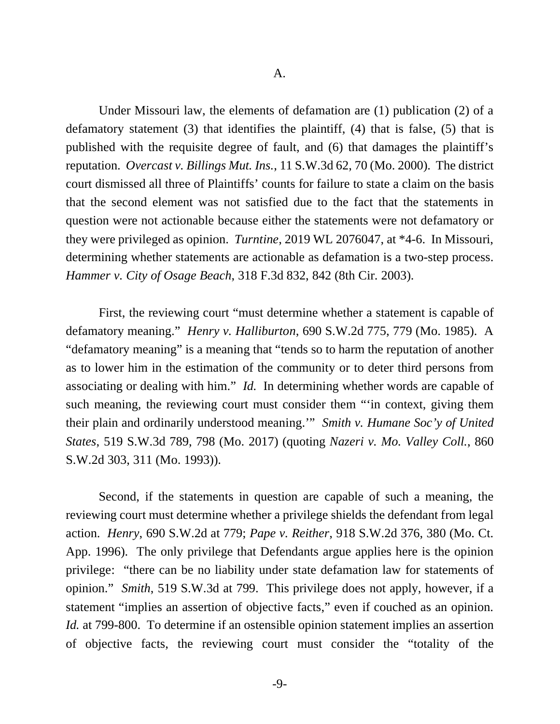Under Missouri law, the elements of defamation are (1) publication (2) of a defamatory statement (3) that identifies the plaintiff, (4) that is false, (5) that is published with the requisite degree of fault, and (6) that damages the plaintiff's reputation. *Overcast v. Billings Mut. Ins.*, 11 S.W.3d 62, 70 (Mo. 2000). The district court dismissed all three of Plaintiffs' counts for failure to state a claim on the basis that the second element was not satisfied due to the fact that the statements in question were not actionable because either the statements were not defamatory or they were privileged as opinion. *Turntine*, 2019 WL 2076047, at \*4-6. In Missouri, determining whether statements are actionable as defamation is a two-step process. *Hammer v. City of Osage Beach*, 318 F.3d 832, 842 (8th Cir. 2003).

First, the reviewing court "must determine whether a statement is capable of defamatory meaning." *Henry v. Halliburton*, 690 S.W.2d 775, 779 (Mo. 1985). A "defamatory meaning" is a meaning that "tends so to harm the reputation of another as to lower him in the estimation of the community or to deter third persons from associating or dealing with him." *Id.* In determining whether words are capable of such meaning, the reviewing court must consider them "'in context, giving them their plain and ordinarily understood meaning.'" *Smith v. Humane Soc'y of United States*, 519 S.W.3d 789, 798 (Mo. 2017) (quoting *Nazeri v. Mo. Valley Coll.*, 860 S.W.2d 303, 311 (Mo. 1993)).

Second, if the statements in question are capable of such a meaning, the reviewing court must determine whether a privilege shields the defendant from legal action. *Henry*, 690 S.W.2d at 779; *Pape v. Reither*, 918 S.W.2d 376, 380 (Mo. Ct. App. 1996). The only privilege that Defendants argue applies here is the opinion privilege: "there can be no liability under state defamation law for statements of opinion." *Smith*, 519 S.W.3d at 799. This privilege does not apply, however, if a statement "implies an assertion of objective facts," even if couched as an opinion. *Id.* at 799-800. To determine if an ostensible opinion statement implies an assertion of objective facts, the reviewing court must consider the "totality of the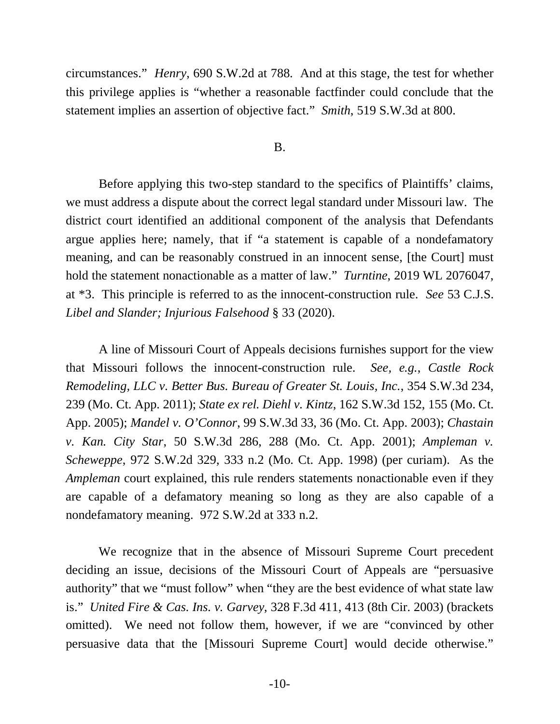circumstances." *Henry*, 690 S.W.2d at 788. And at this stage, the test for whether this privilege applies is "whether a reasonable factfinder could conclude that the statement implies an assertion of objective fact." *Smith*, 519 S.W.3d at 800.

#### B.

Before applying this two-step standard to the specifics of Plaintiffs' claims, we must address a dispute about the correct legal standard under Missouri law. The district court identified an additional component of the analysis that Defendants argue applies here; namely, that if "a statement is capable of a nondefamatory meaning, and can be reasonably construed in an innocent sense, [the Court] must hold the statement nonactionable as a matter of law." *Turntine*, 2019 WL 2076047, at \*3. This principle is referred to as the innocent-construction rule. *See* 53 C.J.S. *Libel and Slander; Injurious Falsehood* § 33 (2020).

A line of Missouri Court of Appeals decisions furnishes support for the view that Missouri follows the innocent-construction rule. *See, e.g.*, *Castle Rock Remodeling, LLC v. Better Bus. Bureau of Greater St. Louis, Inc.*, 354 S.W.3d 234, 239 (Mo. Ct. App. 2011); *State ex rel. Diehl v. Kintz*, 162 S.W.3d 152, 155 (Mo. Ct. App. 2005); *Mandel v. O'Connor*, 99 S.W.3d 33, 36 (Mo. Ct. App. 2003); *Chastain v. Kan. City Star*, 50 S.W.3d 286, 288 (Mo. Ct. App. 2001); *Ampleman v. Scheweppe*, 972 S.W.2d 329, 333 n.2 (Mo. Ct. App. 1998) (per curiam). As the *Ampleman* court explained, this rule renders statements nonactionable even if they are capable of a defamatory meaning so long as they are also capable of a nondefamatory meaning. 972 S.W.2d at 333 n.2.

We recognize that in the absence of Missouri Supreme Court precedent deciding an issue, decisions of the Missouri Court of Appeals are "persuasive authority" that we "must follow" when "they are the best evidence of what state law is." *United Fire & Cas. Ins. v. Garvey*, 328 F.3d 411, 413 (8th Cir. 2003) (brackets omitted). We need not follow them, however, if we are "convinced by other persuasive data that the [Missouri Supreme Court] would decide otherwise."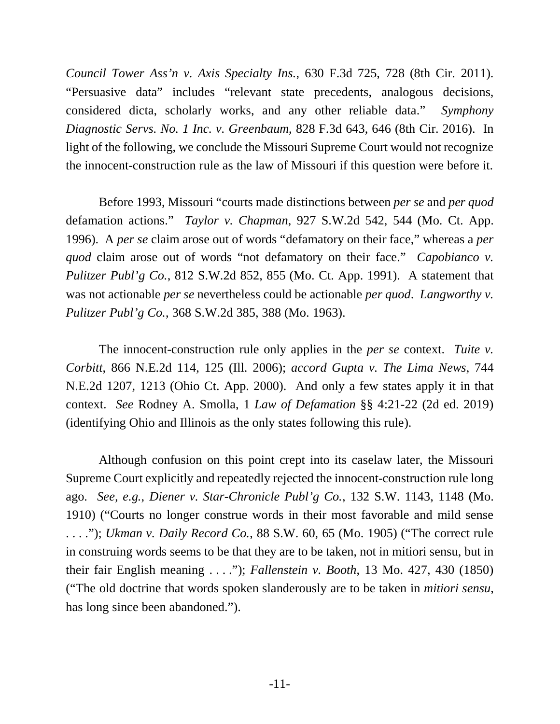*Council Tower Ass'n v. Axis Specialty Ins.*, 630 F.3d 725, 728 (8th Cir. 2011). "Persuasive data" includes "relevant state precedents, analogous decisions, considered dicta, scholarly works, and any other reliable data." *Symphony Diagnostic Servs. No. 1 Inc. v. Greenbaum*, 828 F.3d 643, 646 (8th Cir. 2016). In light of the following, we conclude the Missouri Supreme Court would not recognize the innocent-construction rule as the law of Missouri if this question were before it.

Before 1993, Missouri "courts made distinctions between *per se* and *per quod* defamation actions." *Taylor v. Chapman*, 927 S.W.2d 542, 544 (Mo. Ct. App. 1996). A *per se* claim arose out of words "defamatory on their face," whereas a *per quod* claim arose out of words "not defamatory on their face." *Capobianco v. Pulitzer Publ'g Co.*, 812 S.W.2d 852, 855 (Mo. Ct. App. 1991). A statement that was not actionable *per se* nevertheless could be actionable *per quod*. *Langworthy v. Pulitzer Publ'g Co.*, 368 S.W.2d 385, 388 (Mo. 1963).

The innocent-construction rule only applies in the *per se* context. *Tuite v. Corbitt*, 866 N.E.2d 114, 125 (Ill. 2006); *accord Gupta v. The Lima News*, 744 N.E.2d 1207, 1213 (Ohio Ct. App. 2000). And only a few states apply it in that context. *See* Rodney A. Smolla, 1 *Law of Defamation* §§ 4:21-22 (2d ed. 2019) (identifying Ohio and Illinois as the only states following this rule).

 Although confusion on this point crept into its caselaw later, the Missouri Supreme Court explicitly and repeatedly rejected the innocent-construction rule long ago. *See, e.g.*, *Diener v. Star-Chronicle Publ'g Co.*, 132 S.W. 1143, 1148 (Mo. 1910) ("Courts no longer construe words in their most favorable and mild sense . . . ."); *Ukman v. Daily Record Co.*, 88 S.W. 60, 65 (Mo. 1905) ("The correct rule in construing words seems to be that they are to be taken, not in mitiori sensu, but in their fair English meaning . . . ."); *Fallenstein v. Booth*, 13 Mo. 427, 430 (1850) ("The old doctrine that words spoken slanderously are to be taken in *mitiori sensu*, has long since been abandoned.").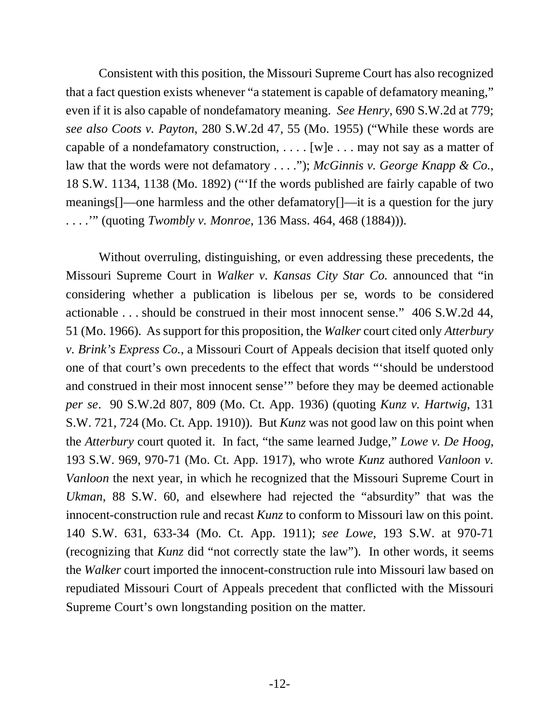Consistent with this position, the Missouri Supreme Court has also recognized that a fact question exists whenever "a statement is capable of defamatory meaning," even if it is also capable of nondefamatory meaning. *See Henry*, 690 S.W.2d at 779; *see also Coots v. Payton*, 280 S.W.2d 47, 55 (Mo. 1955) ("While these words are capable of a nondefamatory construction,  $\dots$  [w]e  $\dots$  may not say as a matter of law that the words were not defamatory . . . ."); *McGinnis v. George Knapp & Co.*, 18 S.W. 1134, 1138 (Mo. 1892) ("'If the words published are fairly capable of two meanings[]—one harmless and the other defamatory[]—it is a question for the jury . . . .'" (quoting *Twombly v. Monroe*, 136 Mass. 464, 468 (1884))).

Without overruling, distinguishing, or even addressing these precedents, the Missouri Supreme Court in *Walker v. Kansas City Star Co.* announced that "in considering whether a publication is libelous per se, words to be considered actionable . . . should be construed in their most innocent sense." 406 S.W.2d 44, 51 (Mo. 1966). As support for this proposition, the *Walker* court cited only *Atterbury v. Brink's Express Co.*, a Missouri Court of Appeals decision that itself quoted only one of that court's own precedents to the effect that words "'should be understood and construed in their most innocent sense'" before they may be deemed actionable *per se*. 90 S.W.2d 807, 809 (Mo. Ct. App. 1936) (quoting *Kunz v. Hartwig*, 131 S.W. 721, 724 (Mo. Ct. App. 1910)). But *Kunz* was not good law on this point when the *Atterbury* court quoted it. In fact, "the same learned Judge," *Lowe v. De Hoog*, 193 S.W. 969, 970-71 (Mo. Ct. App. 1917), who wrote *Kunz* authored *Vanloon v. Vanloon* the next year, in which he recognized that the Missouri Supreme Court in *Ukman*, 88 S.W. 60, and elsewhere had rejected the "absurdity" that was the innocent-construction rule and recast *Kunz* to conform to Missouri law on this point. 140 S.W. 631, 633-34 (Mo. Ct. App. 1911); *see Lowe*, 193 S.W. at 970-71 (recognizing that *Kunz* did "not correctly state the law"). In other words, it seems the *Walker* court imported the innocent-construction rule into Missouri law based on repudiated Missouri Court of Appeals precedent that conflicted with the Missouri Supreme Court's own longstanding position on the matter.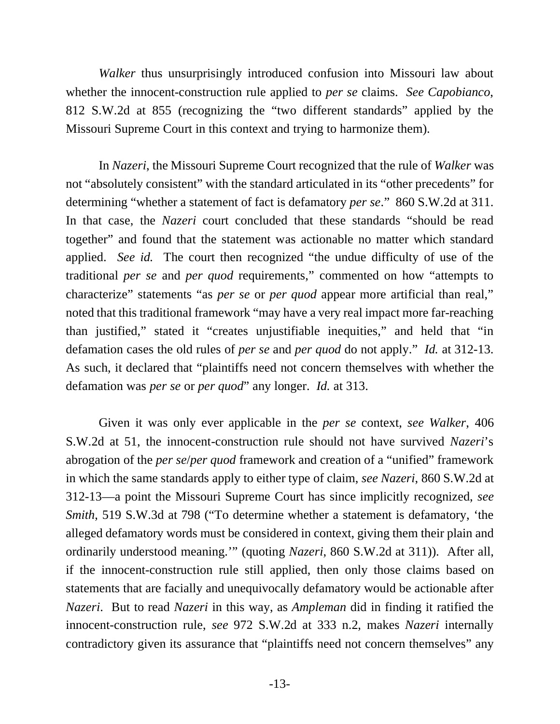*Walker* thus unsurprisingly introduced confusion into Missouri law about whether the innocent-construction rule applied to *per se* claims. *See Capobianco*, 812 S.W.2d at 855 (recognizing the "two different standards" applied by the Missouri Supreme Court in this context and trying to harmonize them).

In *Nazeri*, the Missouri Supreme Court recognized that the rule of *Walker* was not "absolutely consistent" with the standard articulated in its "other precedents" for determining "whether a statement of fact is defamatory *per se*." 860 S.W.2d at 311. In that case, the *Nazeri* court concluded that these standards "should be read together" and found that the statement was actionable no matter which standard applied. *See id.* The court then recognized "the undue difficulty of use of the traditional *per se* and *per quod* requirements," commented on how "attempts to characterize" statements "as *per se* or *per quod* appear more artificial than real," noted that this traditional framework "may have a very real impact more far-reaching than justified," stated it "creates unjustifiable inequities," and held that "in defamation cases the old rules of *per se* and *per quod* do not apply." *Id.* at 312-13. As such, it declared that "plaintiffs need not concern themselves with whether the defamation was *per se* or *per quod*" any longer. *Id.* at 313.

Given it was only ever applicable in the *per se* context, *see Walker*, 406 S.W.2d at 51, the innocent-construction rule should not have survived *Nazeri*'s abrogation of the *per se*/*per quod* framework and creation of a "unified" framework in which the same standards apply to either type of claim, *see Nazeri*, 860 S.W.2d at 312-13—a point the Missouri Supreme Court has since implicitly recognized, *see Smith*, 519 S.W.3d at 798 ("To determine whether a statement is defamatory, 'the alleged defamatory words must be considered in context, giving them their plain and ordinarily understood meaning.'" (quoting *Nazeri*, 860 S.W.2d at 311)). After all, if the innocent-construction rule still applied, then only those claims based on statements that are facially and unequivocally defamatory would be actionable after *Nazeri*. But to read *Nazeri* in this way, as *Ampleman* did in finding it ratified the innocent-construction rule, *see* 972 S.W.2d at 333 n.2, makes *Nazeri* internally contradictory given its assurance that "plaintiffs need not concern themselves" any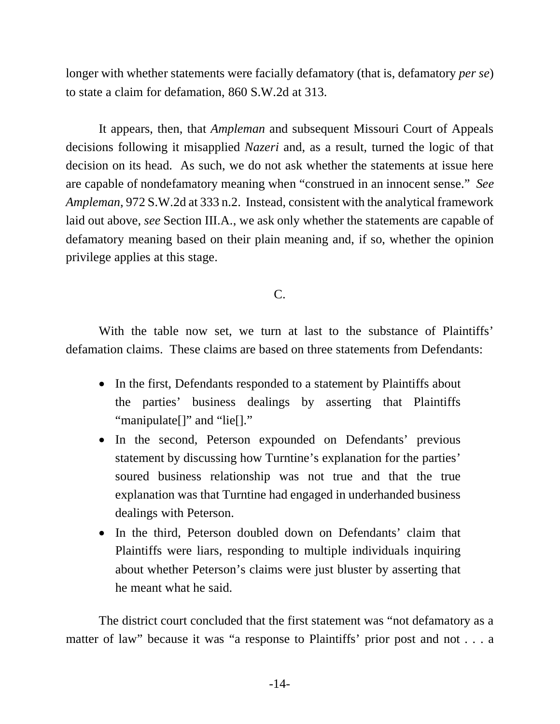longer with whether statements were facially defamatory (that is, defamatory *per se*) to state a claim for defamation, 860 S.W.2d at 313.

It appears, then, that *Ampleman* and subsequent Missouri Court of Appeals decisions following it misapplied *Nazeri* and, as a result, turned the logic of that decision on its head. As such, we do not ask whether the statements at issue here are capable of nondefamatory meaning when "construed in an innocent sense." *See Ampleman*, 972 S.W.2d at 333 n.2. Instead, consistent with the analytical framework laid out above, *see* Section III.A., we ask only whether the statements are capable of defamatory meaning based on their plain meaning and, if so, whether the opinion privilege applies at this stage.

C.

With the table now set, we turn at last to the substance of Plaintiffs' defamation claims. These claims are based on three statements from Defendants:

- In the first, Defendants responded to a statement by Plaintiffs about the parties' business dealings by asserting that Plaintiffs "manipulate<sup>[]"</sup> and "lie<sup>[]"</sup>
- In the second, Peterson expounded on Defendants' previous statement by discussing how Turntine's explanation for the parties' soured business relationship was not true and that the true explanation was that Turntine had engaged in underhanded business dealings with Peterson.
- In the third, Peterson doubled down on Defendants' claim that Plaintiffs were liars, responding to multiple individuals inquiring about whether Peterson's claims were just bluster by asserting that he meant what he said.

The district court concluded that the first statement was "not defamatory as a matter of law" because it was "a response to Plaintiffs' prior post and not . . . a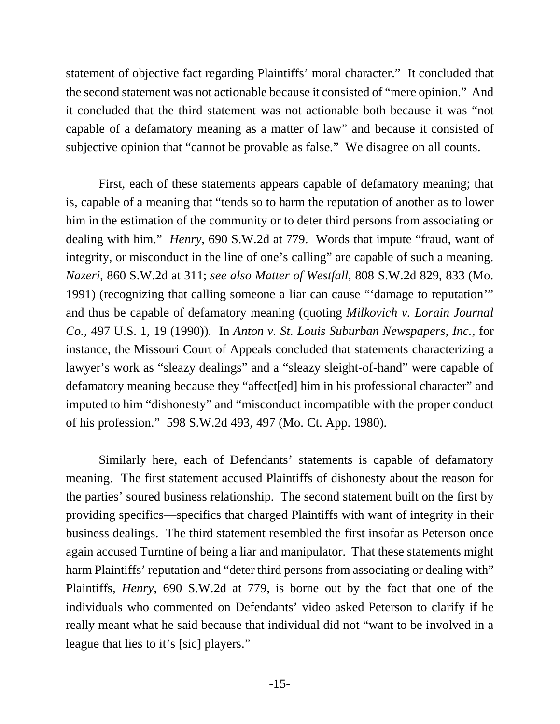statement of objective fact regarding Plaintiffs' moral character." It concluded that the second statement was not actionable because it consisted of "mere opinion." And it concluded that the third statement was not actionable both because it was "not capable of a defamatory meaning as a matter of law" and because it consisted of subjective opinion that "cannot be provable as false." We disagree on all counts.

First, each of these statements appears capable of defamatory meaning; that is, capable of a meaning that "tends so to harm the reputation of another as to lower him in the estimation of the community or to deter third persons from associating or dealing with him." *Henry*, 690 S.W.2d at 779. Words that impute "fraud, want of integrity, or misconduct in the line of one's calling" are capable of such a meaning. *Nazeri*, 860 S.W.2d at 311; *see also Matter of Westfall*, 808 S.W.2d 829, 833 (Mo. 1991) (recognizing that calling someone a liar can cause "'damage to reputation'" and thus be capable of defamatory meaning (quoting *Milkovich v. Lorain Journal Co.*, 497 U.S. 1, 19 (1990)). In *Anton v. St. Louis Suburban Newspapers, Inc.*, for instance, the Missouri Court of Appeals concluded that statements characterizing a lawyer's work as "sleazy dealings" and a "sleazy sleight-of-hand" were capable of defamatory meaning because they "affect[ed] him in his professional character" and imputed to him "dishonesty" and "misconduct incompatible with the proper conduct of his profession." 598 S.W.2d 493, 497 (Mo. Ct. App. 1980).

Similarly here, each of Defendants' statements is capable of defamatory meaning. The first statement accused Plaintiffs of dishonesty about the reason for the parties' soured business relationship. The second statement built on the first by providing specifics—specifics that charged Plaintiffs with want of integrity in their business dealings. The third statement resembled the first insofar as Peterson once again accused Turntine of being a liar and manipulator. That these statements might harm Plaintiffs' reputation and "deter third persons from associating or dealing with" Plaintiffs, *Henry*, 690 S.W.2d at 779, is borne out by the fact that one of the individuals who commented on Defendants' video asked Peterson to clarify if he really meant what he said because that individual did not "want to be involved in a league that lies to it's [sic] players."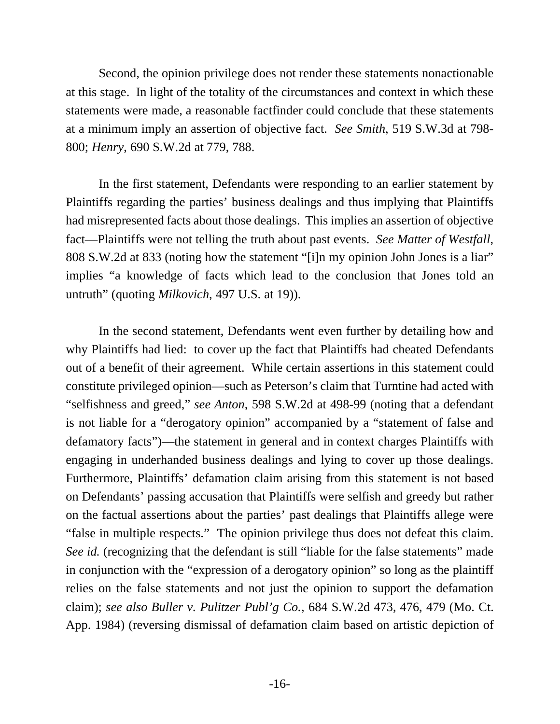Second, the opinion privilege does not render these statements nonactionable at this stage. In light of the totality of the circumstances and context in which these statements were made, a reasonable factfinder could conclude that these statements at a minimum imply an assertion of objective fact. *See Smith*, 519 S.W.3d at 798- 800; *Henry*, 690 S.W.2d at 779, 788.

In the first statement, Defendants were responding to an earlier statement by Plaintiffs regarding the parties' business dealings and thus implying that Plaintiffs had misrepresented facts about those dealings. This implies an assertion of objective fact—Plaintiffs were not telling the truth about past events. *See Matter of Westfall*, 808 S.W.2d at 833 (noting how the statement "[i]n my opinion John Jones is a liar" implies "a knowledge of facts which lead to the conclusion that Jones told an untruth" (quoting *Milkovich*, 497 U.S. at 19)).

In the second statement, Defendants went even further by detailing how and why Plaintiffs had lied: to cover up the fact that Plaintiffs had cheated Defendants out of a benefit of their agreement. While certain assertions in this statement could constitute privileged opinion—such as Peterson's claim that Turntine had acted with "selfishness and greed," *see Anton*, 598 S.W.2d at 498-99 (noting that a defendant is not liable for a "derogatory opinion" accompanied by a "statement of false and defamatory facts")—the statement in general and in context charges Plaintiffs with engaging in underhanded business dealings and lying to cover up those dealings. Furthermore, Plaintiffs' defamation claim arising from this statement is not based on Defendants' passing accusation that Plaintiffs were selfish and greedy but rather on the factual assertions about the parties' past dealings that Plaintiffs allege were "false in multiple respects." The opinion privilege thus does not defeat this claim. *See id.* (recognizing that the defendant is still "liable for the false statements" made in conjunction with the "expression of a derogatory opinion" so long as the plaintiff relies on the false statements and not just the opinion to support the defamation claim); *see also Buller v. Pulitzer Publ'g Co.*, 684 S.W.2d 473, 476, 479 (Mo. Ct. App. 1984) (reversing dismissal of defamation claim based on artistic depiction of